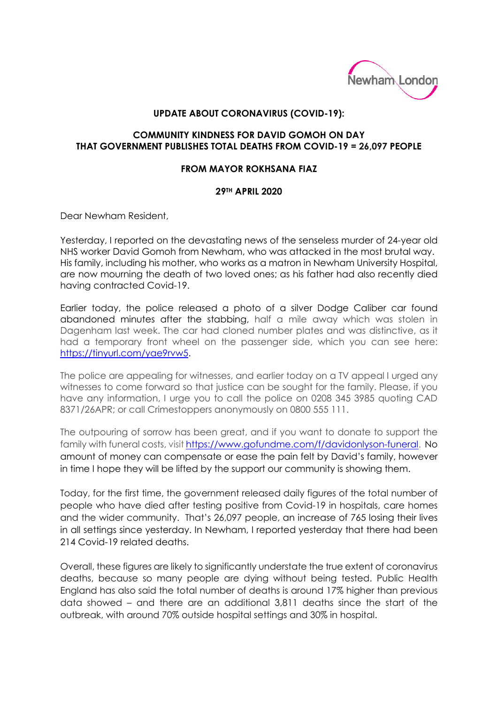

## **UPDATE ABOUT CORONAVIRUS (COVID-19):**

## **COMMUNITY KINDNESS FOR DAVID GOMOH ON DAY THAT GOVERNMENT PUBLISHES TOTAL DEATHS FROM COVID-19 = 26,097 PEOPLE**

## **FROM MAYOR ROKHSANA FIAZ**

## **29TH APRIL 2020**

Dear Newham Resident,

Yesterday, I reported on the devastating news of the senseless murder of 24-year old NHS worker David Gomoh from Newham, who was attacked in the most brutal way. His family, including his mother, who works as a matron in Newham University Hospital, are now mourning the death of two loved ones; as his father had also recently died having contracted Covid-19.

Earlier today, the police released a photo of a silver Dodge Caliber car found abandoned minutes after the stabbing, half a mile away which was stolen in Dagenham last week. The car had cloned number plates and was distinctive, as it had a temporary front wheel on the passenger side, which you can see here: [https://tinyurl.com/yae9rvw5.](https://tinyurl.com/yae9rvw5)

The police are appealing for witnesses, and earlier today on a TV appeal I urged any witnesses to come forward so that justice can be sought for the family. Please, if you have any information, I urge you to call the police on 0208 345 3985 quoting CAD 8371/26APR; or call Crimestoppers anonymously on 0800 555 111.

The outpouring of sorrow has been great, and if you want to donate to support the family with funeral costs, visi[t https://www.gofundme.com/f/davidonlyson-funeral.](https://www.gofundme.com/f/davidonlyson-funeral) No amount of money can compensate or ease the pain felt by David's family, however in time I hope they will be lifted by the support our community is showing them.

Today, for the first time, the government released daily figures of the total number of people who have died after testing positive from Covid-19 in hospitals, care homes and the wider community. That's 26,097 people, an increase of 765 losing their lives in all settings since yesterday. In Newham, I reported yesterday that there had been 214 Covid-19 related deaths.

Overall, these figures are likely to significantly understate the true extent of coronavirus deaths, because so many people are dying without being tested. Public Health England has also said the total number of deaths is around 17% higher than previous data showed – and there are an additional 3,811 deaths since the start of the outbreak, with around 70% outside hospital settings and 30% in hospital.